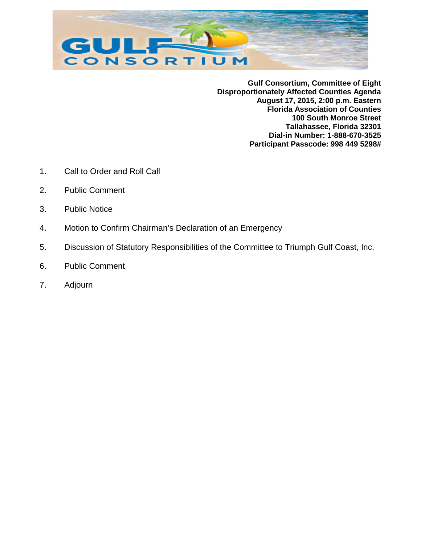

**Gulf Consortium, Committee of Eight Disproportionately Affected Counties Agenda August 17, 2015, 2:00 p.m. Eastern Florida Association of Counties 100 South Monroe Street Tallahassee, Florida 32301 Dial-in Number: 1-888-670-3525 Participant Passcode: 998 449 5298#**

- 1. Call to Order and Roll Call
- 2. Public Comment
- 3. Public Notice
- 4. Motion to Confirm Chairman's Declaration of an Emergency
- 5. Discussion of Statutory Responsibilities of the Committee to Triumph Gulf Coast, Inc.
- 6. Public Comment
- 7. Adjourn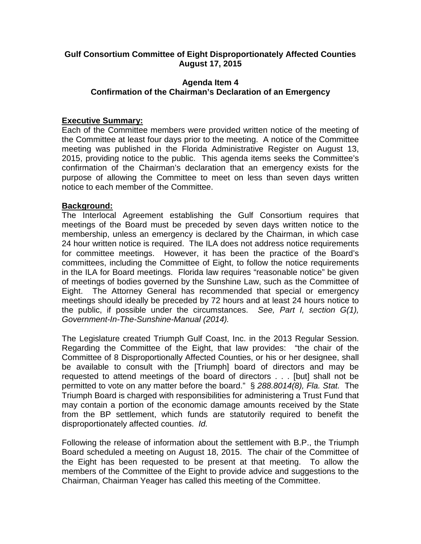#### **Gulf Consortium Committee of Eight Disproportionately Affected Counties August 17, 2015**

#### **Agenda Item 4 Confirmation of the Chairman's Declaration of an Emergency**

#### **Executive Summary:**

Each of the Committee members were provided written notice of the meeting of the Committee at least four days prior to the meeting. A notice of the Committee meeting was published in the Florida Administrative Register on August 13, 2015, providing notice to the public. This agenda items seeks the Committee's confirmation of the Chairman's declaration that an emergency exists for the purpose of allowing the Committee to meet on less than seven days written notice to each member of the Committee.

#### **Background:**

The Interlocal Agreement establishing the Gulf Consortium requires that meetings of the Board must be preceded by seven days written notice to the membership, unless an emergency is declared by the Chairman, in which case 24 hour written notice is required. The ILA does not address notice requirements for committee meetings. However, it has been the practice of the Board's committees, including the Committee of Eight, to follow the notice requirements in the ILA for Board meetings. Florida law requires "reasonable notice" be given of meetings of bodies governed by the Sunshine Law, such as the Committee of Eight. The Attorney General has recommended that special or emergency meetings should ideally be preceded by 72 hours and at least 24 hours notice to the public, if possible under the circumstances. *See, Part I, section G(1), Government-In-The-Sunshine-Manual (2014).*

The Legislature created Triumph Gulf Coast, Inc. in the 2013 Regular Session. Regarding the Committee of the Eight, that law provides: "the chair of the Committee of 8 Disproportionally Affected Counties, or his or her designee, shall be available to consult with the [Triumph] board of directors and may be requested to attend meetings of the board of directors . . . [but] shall not be permitted to vote on any matter before the board." § *288.8014(8), Fla. Stat.* The Triumph Board is charged with responsibilities for administering a Trust Fund that may contain a portion of the economic damage amounts received by the State from the BP settlement, which funds are statutorily required to benefit the disproportionately affected counties. *Id.*

Following the release of information about the settlement with B.P., the Triumph Board scheduled a meeting on August 18, 2015. The chair of the Committee of the Eight has been requested to be present at that meeting. To allow the members of the Committee of the Eight to provide advice and suggestions to the Chairman, Chairman Yeager has called this meeting of the Committee.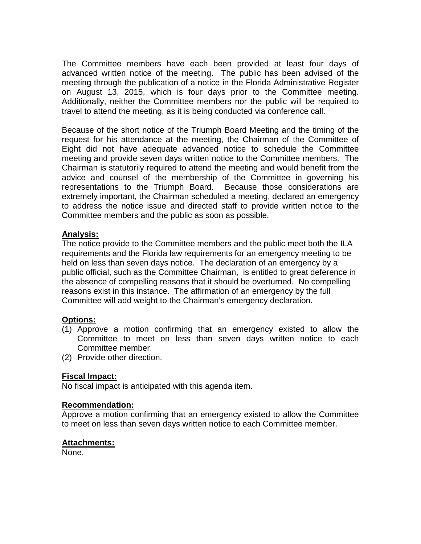The Committee members have each been provided at least four days of advanced written notice of the meeting. The public has been advised of the meeting through the publication of a notice in the Florida Administrative Register on August 13, 2015, which is four days prior to the Committee meeting. Additionally, neither the Committee members nor the public will be required to travel to attend the meeting, as it is being conducted via conference call.

Because of the short notice of the Triumph Board Meeting and the timing of the request for his attendance at the meeting, the Chairman of the Committee of Eight did not have adequate advanced notice to schedule the Committee meeting and provide seven days written notice to the Committee members. The Chairman is statutorily required to attend the meeting and would benefit from the advice and counsel of the membership of the Committee in governing his representations to the Triumph Board. Because those considerations are extremely important, the Chairman scheduled a meeting, declared an emergency to address the notice issue and directed staff to provide written notice to the Committee members and the public as soon as possible.

#### **Analysis:**

The notice provide to the Committee members and the public meet both the ILA requirements and the Florida law requirements for an emergency meeting to be held on less than seven days notice. The declaration of an emergency by a public official, such as the Committee Chairman, is entitled to great deference in the absence of compelling reasons that it should be overturned. No compelling reasons exist in this instance. The affirmation of an emergency by the full Committee will add weight to the Chairman's emergency declaration.

#### **Options:**

- (1) Approve a motion confirming that an emergency existed to allow the Committee to meet on less than seven days written notice to each Committee member.
- (2) Provide other direction.

#### **Fiscal Impact:**

No fiscal impact is anticipated with this agenda item.

#### **Recommendation:**

Approve a motion confirming that an emergency existed to allow the Committee to meet on less than seven days written notice to each Committee member.

#### **Attachments:**

None.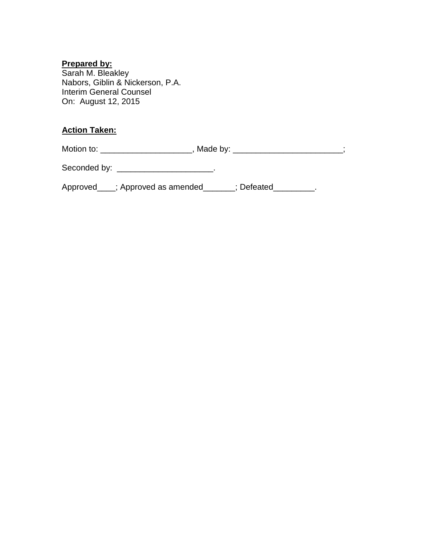#### **Prepared by:**

Sarah M. Bleakley Nabors, Giblin & Nickerson, P.A. Interim General Counsel On: August 12, 2015

#### **Action Taken:**

Motion to: \_\_\_\_\_\_\_\_\_\_\_\_\_\_\_\_\_\_\_\_\_\_\_, Made by: \_\_\_\_\_\_\_\_\_\_\_\_\_\_\_\_\_\_\_\_\_\_\_;

Seconded by: \_\_\_\_\_\_\_\_\_\_\_\_\_\_\_\_\_\_\_\_\_\_\_.

Approved\_\_\_; Approved as amended\_\_\_\_\_\_; Defeated\_\_\_\_\_\_\_\_\_.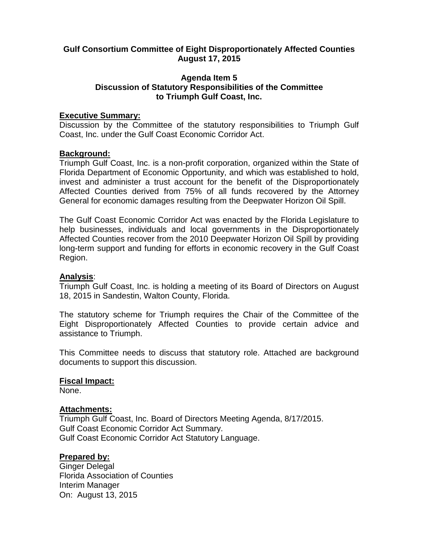#### **Gulf Consortium Committee of Eight Disproportionately Affected Counties August 17, 2015**

#### **Agenda Item 5 Discussion of Statutory Responsibilities of the Committee to Triumph Gulf Coast, Inc.**

#### **Executive Summary:**

Discussion by the Committee of the statutory responsibilities to Triumph Gulf Coast, Inc. under the Gulf Coast Economic Corridor Act.

#### **Background:**

Triumph Gulf Coast, Inc. is a non-profit corporation, organized within the State of Florida Department of Economic Opportunity, and which was established to hold, invest and administer a trust account for the benefit of the Disproportionately Affected Counties derived from 75% of all funds recovered by the Attorney General for economic damages resulting from the Deepwater Horizon Oil Spill.

The Gulf Coast Economic Corridor Act was enacted by the Florida Legislature to help businesses, individuals and local governments in the Disproportionately Affected Counties recover from the 2010 Deepwater Horizon Oil Spill by providing long-term support and funding for efforts in economic recovery in the Gulf Coast Region.

#### **Analysis**:

Triumph Gulf Coast, Inc. is holding a meeting of its Board of Directors on August 18, 2015 in Sandestin, Walton County, Florida.

The statutory scheme for Triumph requires the Chair of the Committee of the Eight Disproportionately Affected Counties to provide certain advice and assistance to Triumph.

This Committee needs to discuss that statutory role. Attached are background documents to support this discussion.

#### **Fiscal Impact:**

None.

#### **Attachments:**

Triumph Gulf Coast, Inc. Board of Directors Meeting Agenda, 8/17/2015. Gulf Coast Economic Corridor Act Summary. Gulf Coast Economic Corridor Act Statutory Language.

#### **Prepared by:**

Ginger Delegal Florida Association of Counties Interim Manager On: August 13, 2015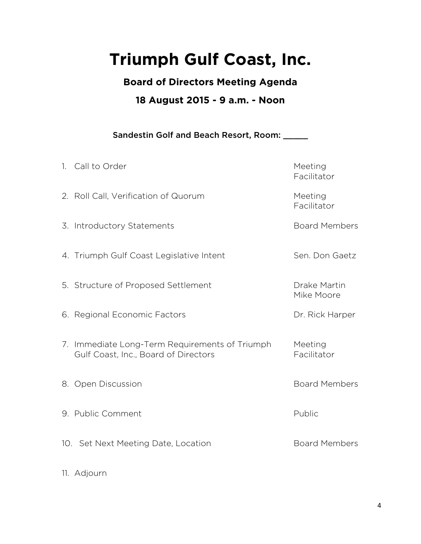## **Triumph Gulf Coast, Inc.**

**Board of Directors Meeting Agenda** 

## **18 August 2015 - 9 a.m. - Noon**

Sandestin Golf and Beach Resort, Room: \_\_\_\_\_

| 1. Call to Order                                                                       | Meeting<br>Facilitator     |
|----------------------------------------------------------------------------------------|----------------------------|
| 2. Roll Call, Verification of Quorum                                                   | Meeting<br>Facilitator     |
| 3. Introductory Statements                                                             | <b>Board Members</b>       |
| 4. Triumph Gulf Coast Legislative Intent                                               | Sen. Don Gaetz             |
| 5. Structure of Proposed Settlement                                                    | Drake Martin<br>Mike Moore |
| 6. Regional Economic Factors                                                           | Dr. Rick Harper            |
| 7. Immediate Long-Term Requirements of Triumph<br>Gulf Coast, Inc., Board of Directors | Meeting<br>Facilitator     |
| 8. Open Discussion                                                                     | <b>Board Members</b>       |
| 9. Public Comment                                                                      | Public                     |
| 10. Set Next Meeting Date, Location                                                    | <b>Board Members</b>       |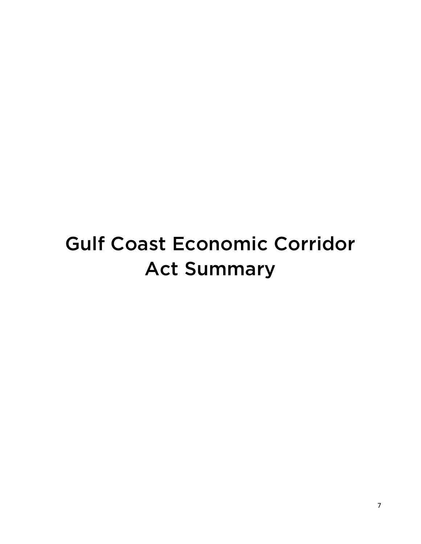## Gulf Coast Economic Corridor Act Summary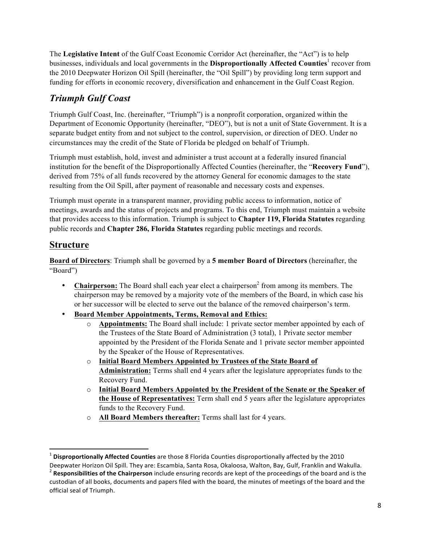The **Legislative Intent** of the Gulf Coast Economic Corridor Act (hereinafter, the "Act") is to help businesses, individuals and local governments in the **Disproportionally Affected Counties**<sup>1</sup> recover from the 2010 Deepwater Horizon Oil Spill (hereinafter, the "Oil Spill") by providing long term support and funding for efforts in economic recovery, diversification and enhancement in the Gulf Coast Region.

## *Triumph Gulf Coast*

Triumph Gulf Coast, Inc. (hereinafter, "Triumph") is a nonprofit corporation, organized within the Department of Economic Opportunity (hereinafter, "DEO"), but is not a unit of State Government. It is a separate budget entity from and not subject to the control, supervision, or direction of DEO. Under no circumstances may the credit of the State of Florida be pledged on behalf of Triumph.

Triumph must establish, hold, invest and administer a trust account at a federally insured financial institution for the benefit of the Disproportionally Affected Counties (hereinafter, the "**Recovery Fund**"), derived from 75% of all funds recovered by the attorney General for economic damages to the state resulting from the Oil Spill, after payment of reasonable and necessary costs and expenses.

Triumph must operate in a transparent manner, providing public access to information, notice of meetings, awards and the status of projects and programs. To this end, Triumph must maintain a website that provides access to this information. Triumph is subject to **Chapter 119, Florida Statutes** regarding public records and **Chapter 286, Florida Statutes** regarding public meetings and records.

### **Structure**

<u> 1989 - Johann Stein, markin film yn y breninn y breninn y breninn y breninn y breninn y breninn y breninn y b</u>

**Board of Directors**: Triumph shall be governed by a **5 member Board of Directors** (hereinafter, the "Board")

- **Chairperson:** The Board shall each year elect a chairperson<sup>2</sup> from among its members. The chairperson may be removed by a majority vote of the members of the Board, in which case his or her successor will be elected to serve out the balance of the removed chairperson's term.
- **Board Member Appointments, Terms, Removal and Ethics:**
	- o **Appointments:** The Board shall include: 1 private sector member appointed by each of the Trustees of the State Board of Administration (3 total), 1 Private sector member appointed by the President of the Florida Senate and 1 private sector member appointed by the Speaker of the House of Representatives.
	- o **Initial Board Members Appointed by Trustees of the State Board of Administration:** Terms shall end 4 years after the legislature appropriates funds to the Recovery Fund.
	- o **Initial Board Members Appointed by the President of the Senate or the Speaker of the House of Representatives:** Term shall end 5 years after the legislature appropriates funds to the Recovery Fund.
	- o **All Board Members thereafter:** Terms shall last for 4 years.

<sup>&</sup>lt;sup>1</sup> Disproportionally Affected Counties are those 8 Florida Counties disproportionally affected by the 2010

Deepwater Horizon Oil Spill. They are: Escambia, Santa Rosa, Okaloosa, Walton, Bay, Gulf, Franklin and Wakulla. <sup>2</sup> Responsibilities of the Chairperson include ensuring records are kept of the proceedings of the board and is the custodian of all books, documents and papers filed with the board, the minutes of meetings of the board and the official seal of Triumph.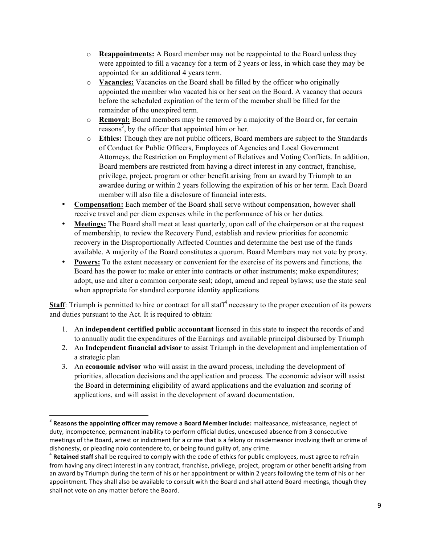- o **Reappointments:** A Board member may not be reappointed to the Board unless they were appointed to fill a vacancy for a term of 2 years or less, in which case they may be appointed for an additional 4 years term.
- o **Vacancies:** Vacancies on the Board shall be filled by the officer who originally appointed the member who vacated his or her seat on the Board. A vacancy that occurs before the scheduled expiration of the term of the member shall be filled for the remainder of the unexpired term.
- o **Removal:** Board members may be removed by a majority of the Board or, for certain reasons<sup>3</sup>, by the officer that appointed him or her.
- o **Ethics:** Though they are not public officers, Board members are subject to the Standards of Conduct for Public Officers, Employees of Agencies and Local Government Attorneys, the Restriction on Employment of Relatives and Voting Conflicts. In addition, Board members are restricted from having a direct interest in any contract, franchise, privilege, project, program or other benefit arising from an award by Triumph to an awardee during or within 2 years following the expiration of his or her term. Each Board member will also file a disclosure of financial interests.
- **Compensation:** Each member of the Board shall serve without compensation, however shall receive travel and per diem expenses while in the performance of his or her duties.
- **Meetings:** The Board shall meet at least quarterly, upon call of the chairperson or at the request of membership, to review the Recovery Fund, establish and review priorities for economic recovery in the Disproportionally Affected Counties and determine the best use of the funds available. A majority of the Board constitutes a quorum. Board Members may not vote by proxy.
- **Powers:** To the extent necessary or convenient for the exercise of its powers and functions, the Board has the power to: make or enter into contracts or other instruments; make expenditures; adopt, use and alter a common corporate seal; adopt, amend and repeal bylaws; use the state seal when appropriate for standard corporate identity applications

**Staff**: Triumph is permitted to hire or contract for all staff<sup>4</sup> necessary to the proper execution of its powers and duties pursuant to the Act. It is required to obtain:

- 1. An **independent certified public accountant** licensed in this state to inspect the records of and to annually audit the expenditures of the Earnings and available principal disbursed by Triumph
- 2. An **Independent financial advisor** to assist Triumph in the development and implementation of a strategic plan
- 3. An **economic advisor** who will assist in the award process, including the development of priorities, allocation decisions and the application and process. The economic advisor will assist the Board in determining eligibility of award applications and the evaluation and scoring of applications, and will assist in the development of award documentation.

 

<sup>&</sup>lt;sup>3</sup> Reasons the appointing officer may remove a Board Member include: malfeasance, misfeasance, neglect of duty, incompetence, permanent inability to perform official duties, unexcused absence from 3 consecutive meetings of the Board, arrest or indictment for a crime that is a felony or misdemeanor involving theft or crime of dishonesty, or pleading nolo contendere to, or being found guilty of, any crime.<br><sup>4</sup> Retained staff shall be required to comply with the code of ethics for public employees, must agree to refrain

from having any direct interest in any contract, franchise, privilege, project, program or other benefit arising from an award by Triumph during the term of his or her appointment or within 2 years following the term of his or her appointment. They shall also be available to consult with the Board and shall attend Board meetings, though they shall not vote on any matter before the Board.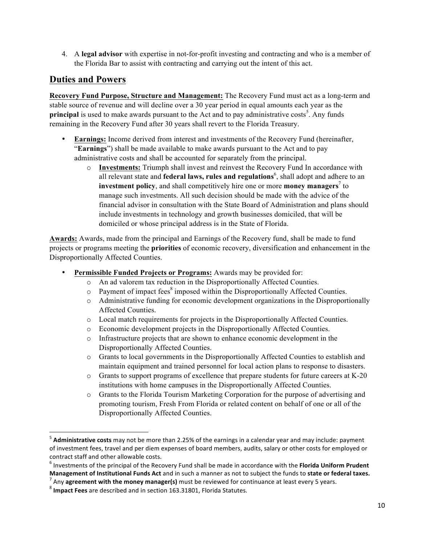4. A **legal advisor** with expertise in not-for-profit investing and contracting and who is a member of the Florida Bar to assist with contracting and carrying out the intent of this act.

#### **Duties and Powers**

**Recovery Fund Purpose, Structure and Management:** The Recovery Fund must act as a long-term and stable source of revenue and will decline over a 30 year period in equal amounts each year as the **principal** is used to make awards pursuant to the Act and to pay administrative costs<sup>5</sup>. Any funds remaining in the Recovery Fund after 30 years shall revert to the Florida Treasury.

- **Earnings:** Income derived from interest and investments of the Recovery Fund (hereinafter, "**Earnings**") shall be made available to make awards pursuant to the Act and to pay administrative costs and shall be accounted for separately from the principal.
	- o **Investments:** Triumph shall invest and reinvest the Recovery Fund In accordance with all relevant state and **federal laws, rules and regulations**<sup>6</sup>, shall adopt and adhere to an **investment policy**, and shall competitively hire one or more **money managers**<sup>7</sup> to manage such investments. All such decision should be made with the advice of the financial advisor in consultation with the State Board of Administration and plans should include investments in technology and growth businesses domiciled, that will be domiciled or whose principal address is in the State of Florida.

**Awards:** Awards, made from the principal and Earnings of the Recovery fund, shall be made to fund projects or programs meeting the **priorities** of economic recovery, diversification and enhancement in the Disproportionally Affected Counties.

- **Permissible Funded Projects or Programs:** Awards may be provided for:
	- o An ad valorem tax reduction in the Disproportionally Affected Counties.
	- $\circ$  Payment of impact fees<sup>8</sup> imposed within the Disproportionally Affected Counties.
	- o Administrative funding for economic development organizations in the Disproportionally Affected Counties.
	- o Local match requirements for projects in the Disproportionally Affected Counties.
	- o Economic development projects in the Disproportionally Affected Counties.
	- o Infrastructure projects that are shown to enhance economic development in the Disproportionally Affected Counties.
	- o Grants to local governments in the Disproportionally Affected Counties to establish and maintain equipment and trained personnel for local action plans to response to disasters.
	- o Grants to support programs of excellence that prepare students for future careers at K-20 institutions with home campuses in the Disproportionally Affected Counties.
	- o Grants to the Florida Tourism Marketing Corporation for the purpose of advertising and promoting tourism, Fresh From Florida or related content on behalf of one or all of the Disproportionally Affected Counties.

<u> 1989 - Johann Stein, markin film yn y breninn y breninn y breninn y breninn y breninn y breninn y breninn y b</u>

<sup>&</sup>lt;sup>5</sup> Administrative costs may not be more than 2.25% of the earnings in a calendar year and may include: payment of investment fees, travel and per diem expenses of board members, audits, salary or other costs for employed or contract staff and other allowable costs.

<sup>&</sup>lt;sup>6</sup> Investments of the principal of the Recovery Fund shall be made in accordance with the Florida Uniform Prudent **Management of Institutional Funds Act** and in such a manner as not to subject the funds to **state or federal taxes.**<br><sup>7</sup> Any **agreement with the money manager(s)** must be reviewed for continuance at least every 5 years.<br>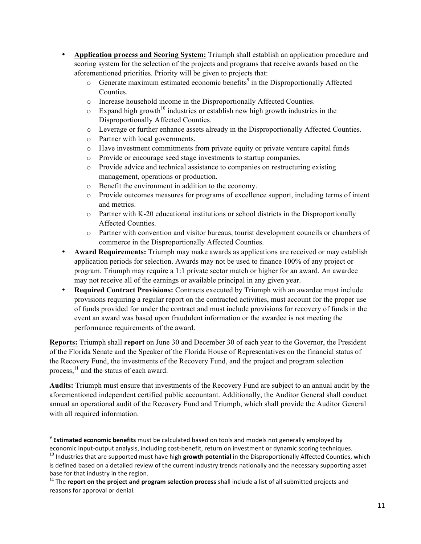- **Application process and Scoring System:** Triumph shall establish an application procedure and scoring system for the selection of the projects and programs that receive awards based on the aforementioned priorities. Priority will be given to projects that:
	- $\circ$  Generate maximum estimated economic benefits<sup>9</sup> in the Disproportionally Affected Counties.
	- o Increase household income in the Disproportionally Affected Counties.
	- $\circ$  Expand high growth<sup>10</sup> industries or establish new high growth industries in the Disproportionally Affected Counties.
	- o Leverage or further enhance assets already in the Disproportionally Affected Counties.
	- o Partner with local governments.

<u> 1989 - Johann Stein, markin film yn y breninn y breninn y breninn y breninn y breninn y breninn y breninn y b</u>

- o Have investment commitments from private equity or private venture capital funds
- o Provide or encourage seed stage investments to startup companies.
- o Provide advice and technical assistance to companies on restructuring existing management, operations or production.
- o Benefit the environment in addition to the economy.
- o Provide outcomes measures for programs of excellence support, including terms of intent and metrics.
- $\circ$  Partner with K-20 educational institutions or school districts in the Disproportionally Affected Counties.
- o Partner with convention and visitor bureaus, tourist development councils or chambers of commerce in the Disproportionally Affected Counties.
- **Award Requirements:** Triumph may make awards as applications are received or may establish application periods for selection. Awards may not be used to finance 100% of any project or program. Triumph may require a 1:1 private sector match or higher for an award. An awardee may not receive all of the earnings or available principal in any given year.
- **Required Contract Provisions:** Contracts executed by Triumph with an awardee must include provisions requiring a regular report on the contracted activities, must account for the proper use of funds provided for under the contract and must include provisions for recovery of funds in the event an award was based upon fraudulent information or the awardee is not meeting the performance requirements of the award.

**Reports:** Triumph shall **report** on June 30 and December 30 of each year to the Governor, the President of the Florida Senate and the Speaker of the Florida House of Representatives on the financial status of the Recovery Fund, the investments of the Recovery Fund, and the project and program selection process,<sup>11</sup> and the status of each award.

**Audits:** Triumph must ensure that investments of the Recovery Fund are subject to an annual audit by the aforementioned independent certified public accountant. Additionally, the Auditor General shall conduct annual an operational audit of the Recovery Fund and Triumph, which shall provide the Auditor General with all required information.

<sup>&</sup>lt;sup>9</sup> **Estimated economic benefits** must be calculated based on tools and models not generally employed by economic input-output analysis, including cost-benefit, return on investment or dynamic scoring techniques.<br><sup>10</sup> Industries that are supported must have high **growth potential** in the Disproportionally Affected Counties, w

is defined based on a detailed review of the current industry trends nationally and the necessary supporting asset base for that industry in the region.

 $11$  The **report on the project and program selection process** shall include a list of all submitted projects and reasons for approval or denial.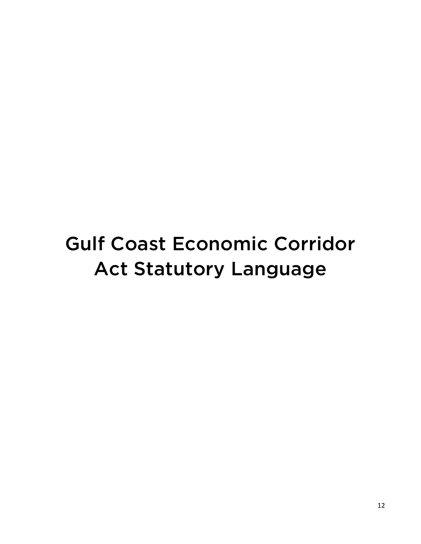# Gulf Coast Economic Corridor Act Statutory Language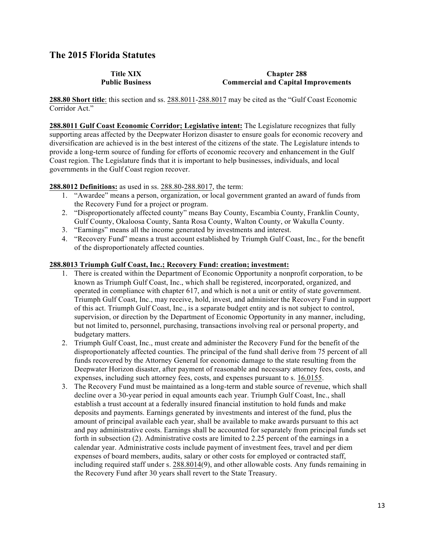#### **The 2015 Florida Statutes**

**Title XIX Public Business**

#### **Chapter 288 Commercial and Capital Improvements**

**288.80 Short title**: this section and ss. 288.8011-288.8017 may be cited as the "Gulf Coast Economic Corridor Act."

**288.8011 Gulf Coast Economic Corridor; Legislative intent:** The Legislature recognizes that fully supporting areas affected by the Deepwater Horizon disaster to ensure goals for economic recovery and diversification are achieved is in the best interest of the citizens of the state. The Legislature intends to provide a long-term source of funding for efforts of economic recovery and enhancement in the Gulf Coast region. The Legislature finds that it is important to help businesses, individuals, and local governments in the Gulf Coast region recover.

#### **288.8012 Definitions:** as used in ss. 288.80-288.8017, the term:

- 1. "Awardee" means a person, organization, or local government granted an award of funds from the Recovery Fund for a project or program.
- 2. "Disproportionately affected county" means Bay County, Escambia County, Franklin County, Gulf County, Okaloosa County, Santa Rosa County, Walton County, or Wakulla County.
- 3. "Earnings" means all the income generated by investments and interest.
- 4. "Recovery Fund" means a trust account established by Triumph Gulf Coast, Inc., for the benefit of the disproportionately affected counties.

#### **288.8013 Triumph Gulf Coast, Inc.; Recovery Fund: creation; investment:**

- 1. There is created within the Department of Economic Opportunity a nonprofit corporation, to be known as Triumph Gulf Coast, Inc., which shall be registered, incorporated, organized, and operated in compliance with chapter 617, and which is not a unit or entity of state government. Triumph Gulf Coast, Inc., may receive, hold, invest, and administer the Recovery Fund in support of this act. Triumph Gulf Coast, Inc., is a separate budget entity and is not subject to control, supervision, or direction by the Department of Economic Opportunity in any manner, including, but not limited to, personnel, purchasing, transactions involving real or personal property, and budgetary matters.
- 2. Triumph Gulf Coast, Inc., must create and administer the Recovery Fund for the benefit of the disproportionately affected counties. The principal of the fund shall derive from 75 percent of all funds recovered by the Attorney General for economic damage to the state resulting from the Deepwater Horizon disaster, after payment of reasonable and necessary attorney fees, costs, and expenses, including such attorney fees, costs, and expenses pursuant to s. 16.0155.
- 3. The Recovery Fund must be maintained as a long-term and stable source of revenue, which shall decline over a 30-year period in equal amounts each year. Triumph Gulf Coast, Inc., shall establish a trust account at a federally insured financial institution to hold funds and make deposits and payments. Earnings generated by investments and interest of the fund, plus the amount of principal available each year, shall be available to make awards pursuant to this act and pay administrative costs. Earnings shall be accounted for separately from principal funds set forth in subsection (2). Administrative costs are limited to 2.25 percent of the earnings in a calendar year. Administrative costs include payment of investment fees, travel and per diem expenses of board members, audits, salary or other costs for employed or contracted staff, including required staff under s. 288.8014(9), and other allowable costs. Any funds remaining in the Recovery Fund after 30 years shall revert to the State Treasury.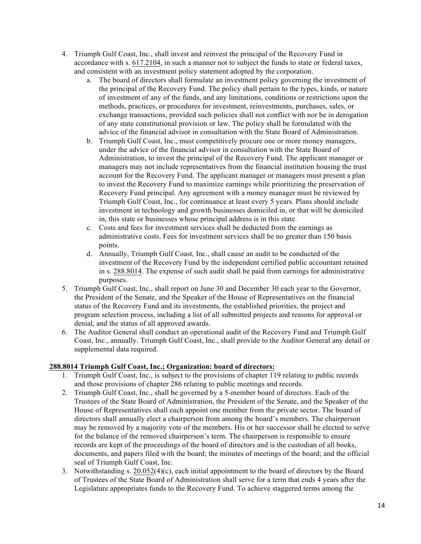- 4. Triumph Gulf Coast, Inc., shall invest and reinvest the principal of the Recovery Fund in accordance with s. 617.2104, in such a manner not to subject the funds to state or federal taxes, and consistent with an investment policy statement adopted by the corporation.
	- a. The board of directors shall formulate an investment policy governing the investment of the principal of the Recovery Fund. The policy shall pertain to the types, kinds, or nature of investment of any of the funds, and any limitations, conditions or restrictions upon the methods, practices, or procedures for investment, reinvestments, purchases, sales, or exchange transactions, provided such policies shall not conflict with nor be in derogation of any state constitutional provision or law. The policy shall be formulated with the advice of the financial advisor in consultation with the State Board of Administration.
	- b. Triumph Gulf Coast, Inc., must competitively procure one or more money managers, under the advice of the financial advisor in consultation with the State Board of Administration, to invest the principal of the Recovery Fund. The applicant manager or managers may not include representatives from the financial institution housing the trust account for the Recovery Fund. The applicant manager or managers must present a plan to invest the Recovery Fund to maximize earnings while prioritizing the preservation of Recovery Fund principal. Any agreement with a money manager must be reviewed by Triumph Gulf Coast, Inc., for continuance at least every 5 years. Plans should include investment in technology and growth businesses domiciled in, or that will be domiciled in, this state or businesses whose principal address is in this state.
	- c. Costs and fees for investment services shall be deducted from the earnings as administrative costs. Fees for investment services shall be no greater than 150 basis points.
	- d. Annually, Triumph Gulf Coast, Inc., shall cause an audit to be conducted of the investment of the Recovery Fund by the independent certified public accountant retained in s. 288.8014. The expense of such audit shall be paid from earnings for administrative purposes.
- 5. Triumph Gulf Coast, Inc., shall report on June 30 and December 30 each year to the Governor, the President of the Senate, and the Speaker of the House of Representatives on the financial status of the Recovery Fund and its investments, the established priorities, the project and program selection process, including a list of all submitted projects and reasons for approval or denial, and the status of all approved awards.
- 6. The Auditor General shall conduct an operational audit of the Recovery Fund and Triumph Gulf Coast, Inc., annually. Triumph Gulf Coast, Inc., shall provide to the Auditor General any detail or supplemental data required.

#### **288.8014 Triumph Gulf Coast, Inc.; Organization: board of directors:**

- 1. Triumph Gulf Coast, Inc., is subject to the provisions of chapter 119 relating to public records and those provisions of chapter 286 relating to public meetings and records.
- 2. Triumph Gulf Coast, Inc., shall be governed by a 5-member board of directors. Each of the Trustees of the State Board of Administration, the President of the Senate, and the Speaker of the House of Representatives shall each appoint one member from the private sector. The board of directors shall annually elect a chairperson from among the board's members. The chairperson may be removed by a majority vote of the members. His or her successor shall be elected to serve for the balance of the removed chairperson's term. The chairperson is responsible to ensure records are kept of the proceedings of the board of directors and is the custodian of all books, documents, and papers filed with the board; the minutes of meetings of the board; and the official seal of Triumph Gulf Coast, Inc.
- 3. Notwithstanding s. 20.052(4)(c), each initial appointment to the board of directors by the Board of Trustees of the State Board of Administration shall serve for a term that ends 4 years after the Legislature appropriates funds to the Recovery Fund. To achieve staggered terms among the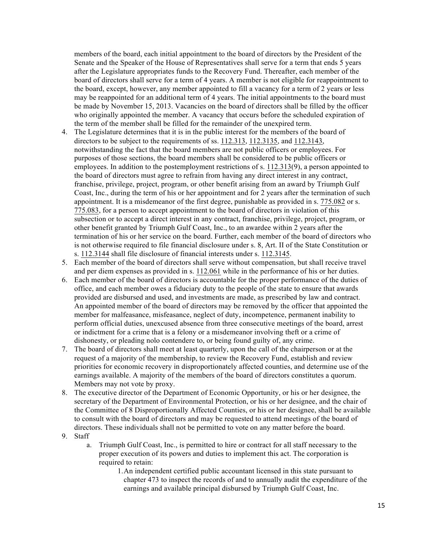members of the board, each initial appointment to the board of directors by the President of the Senate and the Speaker of the House of Representatives shall serve for a term that ends 5 years after the Legislature appropriates funds to the Recovery Fund. Thereafter, each member of the board of directors shall serve for a term of 4 years. A member is not eligible for reappointment to the board, except, however, any member appointed to fill a vacancy for a term of 2 years or less may be reappointed for an additional term of 4 years. The initial appointments to the board must be made by November 15, 2013. Vacancies on the board of directors shall be filled by the officer who originally appointed the member. A vacancy that occurs before the scheduled expiration of the term of the member shall be filled for the remainder of the unexpired term.

- 4. The Legislature determines that it is in the public interest for the members of the board of directors to be subject to the requirements of ss. 112.313, 112.3135, and 112.3143, notwithstanding the fact that the board members are not public officers or employees. For purposes of those sections, the board members shall be considered to be public officers or employees. In addition to the postemployment restrictions of s. 112.313(9), a person appointed to the board of directors must agree to refrain from having any direct interest in any contract, franchise, privilege, project, program, or other benefit arising from an award by Triumph Gulf Coast, Inc., during the term of his or her appointment and for 2 years after the termination of such appointment. It is a misdemeanor of the first degree, punishable as provided in s. 775.082 or s. 775.083, for a person to accept appointment to the board of directors in violation of this subsection or to accept a direct interest in any contract, franchise, privilege, project, program, or other benefit granted by Triumph Gulf Coast, Inc., to an awardee within 2 years after the termination of his or her service on the board. Further, each member of the board of directors who is not otherwise required to file financial disclosure under s. 8, Art. II of the State Constitution or s. 112.3144 shall file disclosure of financial interests under s. 112.3145.
- 5. Each member of the board of directors shall serve without compensation, but shall receive travel and per diem expenses as provided in s. 112.061 while in the performance of his or her duties.
- 6. Each member of the board of directors is accountable for the proper performance of the duties of office, and each member owes a fiduciary duty to the people of the state to ensure that awards provided are disbursed and used, and investments are made, as prescribed by law and contract. An appointed member of the board of directors may be removed by the officer that appointed the member for malfeasance, misfeasance, neglect of duty, incompetence, permanent inability to perform official duties, unexcused absence from three consecutive meetings of the board, arrest or indictment for a crime that is a felony or a misdemeanor involving theft or a crime of dishonesty, or pleading nolo contendere to, or being found guilty of, any crime.
- 7. The board of directors shall meet at least quarterly, upon the call of the chairperson or at the request of a majority of the membership, to review the Recovery Fund, establish and review priorities for economic recovery in disproportionately affected counties, and determine use of the earnings available. A majority of the members of the board of directors constitutes a quorum. Members may not vote by proxy.
- 8. The executive director of the Department of Economic Opportunity, or his or her designee, the secretary of the Department of Environmental Protection, or his or her designee, and the chair of the Committee of 8 Disproportionally Affected Counties, or his or her designee, shall be available to consult with the board of directors and may be requested to attend meetings of the board of directors. These individuals shall not be permitted to vote on any matter before the board.
- 9. Staff
	- a. Triumph Gulf Coast, Inc., is permitted to hire or contract for all staff necessary to the proper execution of its powers and duties to implement this act. The corporation is required to retain:
		- 1.An independent certified public accountant licensed in this state pursuant to chapter 473 to inspect the records of and to annually audit the expenditure of the earnings and available principal disbursed by Triumph Gulf Coast, Inc.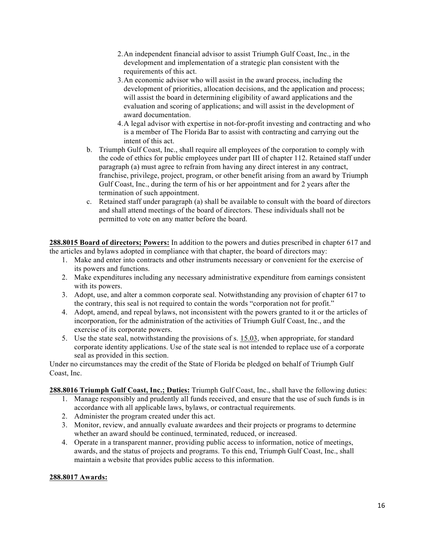- 2.An independent financial advisor to assist Triumph Gulf Coast, Inc., in the development and implementation of a strategic plan consistent with the requirements of this act.
- 3.An economic advisor who will assist in the award process, including the development of priorities, allocation decisions, and the application and process; will assist the board in determining eligibility of award applications and the evaluation and scoring of applications; and will assist in the development of award documentation.
- 4.A legal advisor with expertise in not-for-profit investing and contracting and who is a member of The Florida Bar to assist with contracting and carrying out the intent of this act.
- b. Triumph Gulf Coast, Inc., shall require all employees of the corporation to comply with the code of ethics for public employees under part III of chapter 112. Retained staff under paragraph (a) must agree to refrain from having any direct interest in any contract, franchise, privilege, project, program, or other benefit arising from an award by Triumph Gulf Coast, Inc., during the term of his or her appointment and for 2 years after the termination of such appointment.
- c. Retained staff under paragraph (a) shall be available to consult with the board of directors and shall attend meetings of the board of directors. These individuals shall not be permitted to vote on any matter before the board.

**288.8015 Board of directors; Powers:** In addition to the powers and duties prescribed in chapter 617 and the articles and bylaws adopted in compliance with that chapter, the board of directors may:

- 1. Make and enter into contracts and other instruments necessary or convenient for the exercise of its powers and functions.
- 2. Make expenditures including any necessary administrative expenditure from earnings consistent with its powers.
- 3. Adopt, use, and alter a common corporate seal. Notwithstanding any provision of chapter 617 to the contrary, this seal is not required to contain the words "corporation not for profit."
- 4. Adopt, amend, and repeal bylaws, not inconsistent with the powers granted to it or the articles of incorporation, for the administration of the activities of Triumph Gulf Coast, Inc., and the exercise of its corporate powers.
- 5. Use the state seal, notwithstanding the provisions of s. 15.03, when appropriate, for standard corporate identity applications. Use of the state seal is not intended to replace use of a corporate seal as provided in this section.

Under no circumstances may the credit of the State of Florida be pledged on behalf of Triumph Gulf Coast, Inc.

**288.8016 Triumph Gulf Coast, Inc.; Duties:** Triumph Gulf Coast, Inc., shall have the following duties:

- 1. Manage responsibly and prudently all funds received, and ensure that the use of such funds is in accordance with all applicable laws, bylaws, or contractual requirements.
- 2. Administer the program created under this act.
- 3. Monitor, review, and annually evaluate awardees and their projects or programs to determine whether an award should be continued, terminated, reduced, or increased.
- 4. Operate in a transparent manner, providing public access to information, notice of meetings, awards, and the status of projects and programs. To this end, Triumph Gulf Coast, Inc., shall maintain a website that provides public access to this information.

#### **288.8017 Awards:**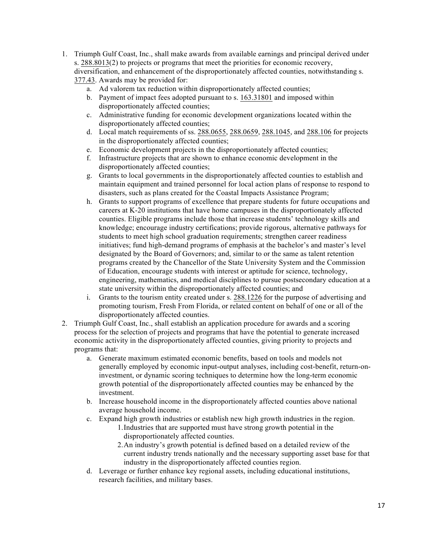- 1. Triumph Gulf Coast, Inc., shall make awards from available earnings and principal derived under s. 288.8013(2) to projects or programs that meet the priorities for economic recovery, diversification, and enhancement of the disproportionately affected counties, notwithstanding s. 377.43. Awards may be provided for:
	- a. Ad valorem tax reduction within disproportionately affected counties;
	- b. Payment of impact fees adopted pursuant to s. 163.31801 and imposed within disproportionately affected counties;
	- c. Administrative funding for economic development organizations located within the disproportionately affected counties;
	- d. Local match requirements of ss. 288.0655, 288.0659, 288.1045, and 288.106 for projects in the disproportionately affected counties;
	- e. Economic development projects in the disproportionately affected counties;
	- f. Infrastructure projects that are shown to enhance economic development in the disproportionately affected counties;
	- g. Grants to local governments in the disproportionately affected counties to establish and maintain equipment and trained personnel for local action plans of response to respond to disasters, such as plans created for the Coastal Impacts Assistance Program;
	- h. Grants to support programs of excellence that prepare students for future occupations and careers at K-20 institutions that have home campuses in the disproportionately affected counties. Eligible programs include those that increase students' technology skills and knowledge; encourage industry certifications; provide rigorous, alternative pathways for students to meet high school graduation requirements; strengthen career readiness initiatives; fund high-demand programs of emphasis at the bachelor's and master's level designated by the Board of Governors; and, similar to or the same as talent retention programs created by the Chancellor of the State University System and the Commission of Education, encourage students with interest or aptitude for science, technology, engineering, mathematics, and medical disciplines to pursue postsecondary education at a state university within the disproportionately affected counties; and
	- i. Grants to the tourism entity created under s. 288.1226 for the purpose of advertising and promoting tourism, Fresh From Florida, or related content on behalf of one or all of the disproportionately affected counties.
- 2. Triumph Gulf Coast, Inc., shall establish an application procedure for awards and a scoring process for the selection of projects and programs that have the potential to generate increased economic activity in the disproportionately affected counties, giving priority to projects and programs that:
	- a. Generate maximum estimated economic benefits, based on tools and models not generally employed by economic input-output analyses, including cost-benefit, return-oninvestment, or dynamic scoring techniques to determine how the long-term economic growth potential of the disproportionately affected counties may be enhanced by the investment.
	- b. Increase household income in the disproportionately affected counties above national average household income.
	- c. Expand high growth industries or establish new high growth industries in the region.
		- 1.Industries that are supported must have strong growth potential in the disproportionately affected counties.
		- 2.An industry's growth potential is defined based on a detailed review of the current industry trends nationally and the necessary supporting asset base for that industry in the disproportionately affected counties region.
	- d. Leverage or further enhance key regional assets, including educational institutions, research facilities, and military bases.